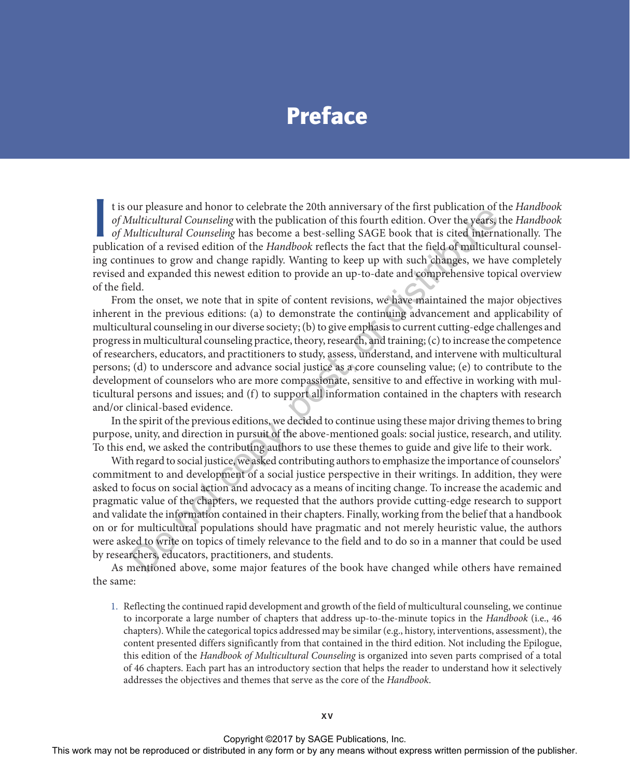## Preface

It is our pleasure and honor to celebrate the 20th anniversary of the first publication of the *Handbook* of *Multicultural Counseling* with the publication of this fourth edition. Over the years, the *Handbook* of *Multic* t is our pleasure and honor to celebrate the 20th anniversary of the first publication of the *Handbook of Multicultural Counseling* with the publication of this fourth edition. Over the years, the *Handbook of Multicultural Counseling* has become a best-selling SAGE book that is cited internationally. The ing continues to grow and change rapidly. Wanting to keep up with such changes, we have completely revised and expanded this newest edition to provide an up-to-date and comprehensive topical overview of the field.

From the onset, we note that in spite of content revisions, we have maintained the major objectives inherent in the previous editions: (a) to demonstrate the continuing advancement and applicability of multicultural counseling in our diverse society; (b) to give emphasis to current cutting-edge challenges and progress in multicultural counseling practice, theory, research, and training; (c) to increase the competence of researchers, educators, and practitioners to study, assess, understand, and intervene with multicultural persons; (d) to underscore and advance social justice as a core counseling value; (e) to contribute to the development of counselors who are more compassionate, sensitive to and effective in working with multicultural persons and issues; and (f) to support all information contained in the chapters with research and/or clinical-based evidence. on the method counseling particle and more to see the sect and the method of this fourth the publication of this fourth edition. Over the years, it in the full including Counseling this the publication of this fourth editi

In the spirit of the previous editions, we decided to continue using these major driving themes to bring purpose, unity, and direction in pursuit of the above-mentioned goals: social justice, research, and utility. To this end, we asked the contributing authors to use these themes to guide and give life to their work.

With regard to social justice, we asked contributing authors to emphasize the importance of counselors' commitment to and development of a social justice perspective in their writings. In addition, they were asked to focus on social action and advocacy as a means of inciting change. To increase the academic and pragmatic value of the chapters, we requested that the authors provide cutting-edge research to support and validate the information contained in their chapters. Finally, working from the belief that a handbook on or for multicultural populations should have pragmatic and not merely heuristic value, the authors were asked to write on topics of timely relevance to the field and to do so in a manner that could be used by researchers, educators, practitioners, and students.

As mentioned above, some major features of the book have changed while others have remained the same:

1. Reflecting the continued rapid development and growth of the field of multicultural counseling, we continue to incorporate a large number of chapters that address up-to-the-minute topics in the *Handbook* (i.e., 46 chapters). While the categorical topics addressed may be similar (e.g., history, interventions, assessment), the content presented differs significantly from that contained in the third edition. Not including the Epilogue, this edition of the *Handbook of Multicultural Counseling* is organized into seven parts comprised of a total of 46 chapters. Each part has an introductory section that helps the reader to understand how it selectively addresses the objectives and themes that serve as the core of the *Handbook*.

Copyright ©2017 by SAGE Publications, Inc.

This work may not be reproduced or distributed in any form or by any means without express written permission of the publisher.